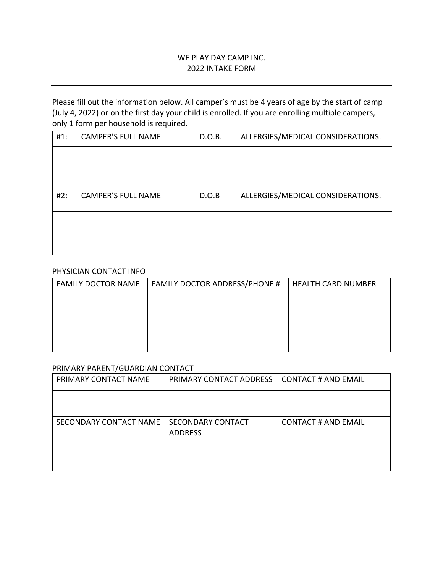# WE PLAY DAY CAMP INC. 2022 INTAKE FORM

Please fill out the information below. All camper's must be 4 years of age by the start of camp (July 4, 2022) or on the first day your child is enrolled. If you are enrolling multiple campers, only 1 form per household is required.

| ALLERGIES/MEDICAL CONSIDERATIONS. |
|-----------------------------------|
|                                   |
|                                   |
|                                   |
|                                   |
|                                   |

## PHYSICIAN CONTACT INFO

| <b>FAMILY DOCTOR NAME</b> | <b>FAMILY DOCTOR ADDRESS/PHONE #</b> | <b>HEALTH CARD NUMBER</b> |
|---------------------------|--------------------------------------|---------------------------|
|                           |                                      |                           |
|                           |                                      |                           |
|                           |                                      |                           |

### PRIMARY PARENT/GUARDIAN CONTACT

| PRIMARY CONTACT NAME   | PRIMARY CONTACT ADDRESS  | <b>CONTACT # AND EMAIL</b> |
|------------------------|--------------------------|----------------------------|
|                        |                          |                            |
|                        |                          |                            |
| SECONDARY CONTACT NAME | <b>SECONDARY CONTACT</b> | <b>CONTACT # AND EMAIL</b> |
|                        | <b>ADDRESS</b>           |                            |
|                        |                          |                            |
|                        |                          |                            |
|                        |                          |                            |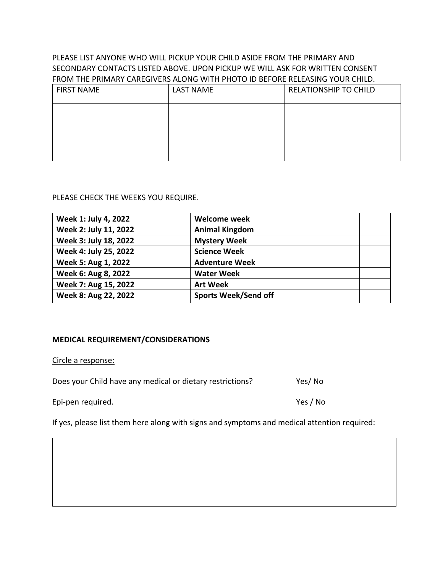# PLEASE LIST ANYONE WHO WILL PICKUP YOUR CHILD ASIDE FROM THE PRIMARY AND SECONDARY CONTACTS LISTED ABOVE. UPON PICKUP WE WILL ASK FOR WRITTEN CONSENT FROM THE PRIMARY CAREGIVERS ALONG WITH PHOTO ID BEFORE RELEASING YOUR CHILD.

| <b>FIRST NAME</b> | <b>LAST NAME</b> | <b>RELATIONSHIP TO CHILD</b> |
|-------------------|------------------|------------------------------|
|                   |                  |                              |
|                   |                  |                              |

## PLEASE CHECK THE WEEKS YOU REQUIRE.

| Week 1: July 4, 2022  | <b>Welcome week</b>         |  |
|-----------------------|-----------------------------|--|
| Week 2: July 11, 2022 | <b>Animal Kingdom</b>       |  |
| Week 3: July 18, 2022 | <b>Mystery Week</b>         |  |
| Week 4: July 25, 2022 | <b>Science Week</b>         |  |
| Week 5: Aug 1, 2022   | <b>Adventure Week</b>       |  |
| Week 6: Aug 8, 2022   | <b>Water Week</b>           |  |
| Week 7: Aug 15, 2022  | <b>Art Week</b>             |  |
| Week 8: Aug 22, 2022  | <b>Sports Week/Send off</b> |  |

# **MEDICAL REQUIREMENT/CONSIDERATIONS**

Circle a response:

| Does your Child have any medical or dietary restrictions? | Yes/No   |
|-----------------------------------------------------------|----------|
| Epi-pen required.                                         | Yes / No |

If yes, please list them here along with signs and symptoms and medical attention required: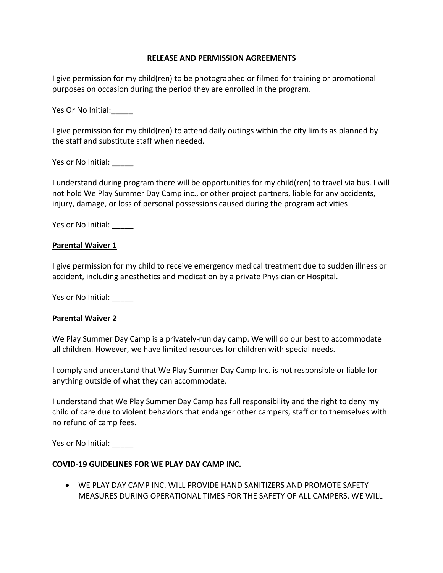# **RELEASE AND PERMISSION AGREEMENTS**

I give permission for my child(ren) to be photographed or filmed for training or promotional purposes on occasion during the period they are enrolled in the program.

Yes Or No Initial:\_\_\_\_\_

I give permission for my child(ren) to attend daily outings within the city limits as planned by the staff and substitute staff when needed.

Yes or No Initial:

I understand during program there will be opportunities for my child(ren) to travel via bus. I will not hold We Play Summer Day Camp inc., or other project partners, liable for any accidents, injury, damage, or loss of personal possessions caused during the program activities

Yes or No Initial:

#### **Parental Waiver 1**

I give permission for my child to receive emergency medical treatment due to sudden illness or accident, including anesthetics and medication by a private Physician or Hospital.

Yes or No Initial: \_\_\_\_\_

## **Parental Waiver 2**

We Play Summer Day Camp is a privately-run day camp. We will do our best to accommodate all children. However, we have limited resources for children with special needs.

I comply and understand that We Play Summer Day Camp Inc. is not responsible or liable for anything outside of what they can accommodate.

I understand that We Play Summer Day Camp has full responsibility and the right to deny my child of care due to violent behaviors that endanger other campers, staff or to themselves with no refund of camp fees.

Yes or No Initial:

## **COVID-19 GUIDELINES FOR WE PLAY DAY CAMP INC.**

• WE PLAY DAY CAMP INC. WILL PROVIDE HAND SANITIZERS AND PROMOTE SAFETY MEASURES DURING OPERATIONAL TIMES FOR THE SAFETY OF ALL CAMPERS. WE WILL